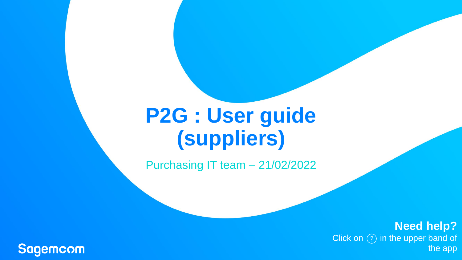# **P2G : User guide (suppliers)**

Purchasing IT team – 21/02/2022

**Need help?** Click on  $\textcircled{\scriptsize{?}}}$  in the upper band of the app

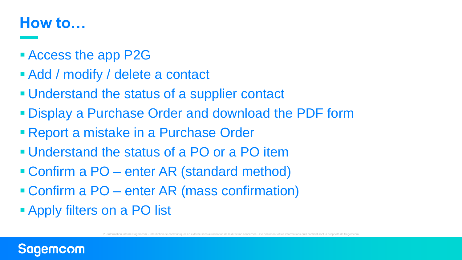# **How to…**

- Access the app P2G
- [Add / modify / delete a contact](#page-3-0)
- **. [Understand the status of a supplier contact](#page-4-0)**
- [Display a Purchase Order and download the PDF form](#page-5-0)
- **Report a mistake in a Purchase Order**
- [Understand the status of a PO or a PO item](#page-7-0)
- Confirm a PO [enter AR \(standard method\)](#page-8-0)
- Confirm a PO [enter AR \(mass confirmation\)](#page-9-0)
- [Apply filters on a PO list](#page-10-0)

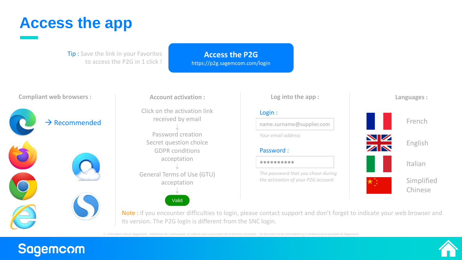# <span id="page-2-0"></span>**Access the app**

**Tip:** Save the link in your Favorites to access the P2G in 1 click !

**[Access the P2G](https://p2g.sagemcom.com/login)** https://p2g.sagemcom.com/login

# $\rightarrow$  Recommended

**Compliant web browsers : The Secount activation : The Secount activation : Log into the app : Account activation :**

> Click on the activation link received by email

Password creation Secret question choice GDPR conditions acceptation General Terms of Use (GTU) acceptation

Valid

### Login :

name.surname@supplier.com

*Your email address*

### Password :

●●●●●●●●●●

*The password that you chose during the activation of your P2G account*



**Languages :**

Note : if you encounter difficulties to login, please contact support and don't forget to indicate your web browser and its version. The P2G login is different from the SNC login.

2 - Information interne Sagemcom - Interdiction de communiquer en externe sans autorisation de la direction concernée - Ce document et les informations qu'il contient sont la propriété de Sagemcom



# **Sagemcom**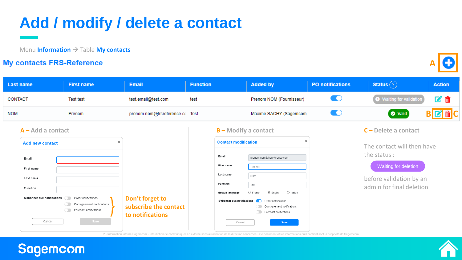# <span id="page-3-0"></span>**Add / modify / delete a contact**

Menu **Information** → Table **My contacts**

# **My contacts FRS-Reference**



| <b>Last name</b>                                                                      | <b>First name</b>                                                                               | <b>Email</b>                                                 | <b>Function</b> |                                                                                                           | <b>Added by</b>                                                                                                                                                                    | <b>PO</b> notifications | <b>Status</b> $(?)$                                                         | <b>Action</b> |
|---------------------------------------------------------------------------------------|-------------------------------------------------------------------------------------------------|--------------------------------------------------------------|-----------------|-----------------------------------------------------------------------------------------------------------|------------------------------------------------------------------------------------------------------------------------------------------------------------------------------------|-------------------------|-----------------------------------------------------------------------------|---------------|
| CONTACT                                                                               | <b>Test test</b>                                                                                | test.email@test.com                                          | test            |                                                                                                           | Prenom NOM (Fournisseur)                                                                                                                                                           | <b>IO</b>               | Waiting for validation                                                      |               |
| <b>NOM</b>                                                                            | Prenom                                                                                          | prenom.nom@frsreference.co Test                              |                 |                                                                                                           | Maxime SACHY (Sagemcom)                                                                                                                                                            | <b>ID</b>               | <b>O</b> Valid                                                              |               |
| <b>Add new contact</b>                                                                | $A - Add$ a contact<br>×                                                                        |                                                              |                 | $B$ – Modify a contact<br>$\times$<br><b>Contact modification</b><br>Email<br>prenom.nom@frsreference.com |                                                                                                                                                                                    |                         | $C$ – Delete a contact<br>The contact will then have<br>the status:         |               |
| Email<br>First name<br>Last name<br>Function<br>S'abonner aux notifications<br>Cancel | Order notifications<br>Consignement notifications<br>Forecast notifications<br>Save <b>Save</b> | Don't forget to<br>subscribe the contact<br>to notifications |                 | First name<br>Last name<br>Function<br>default language<br>S'abonner aux notifications<br>Cancel          | Prenom<br>Nom<br>Test<br>$\bigcirc$ Italian<br>$\bigcirc$ French<br>$\odot$ English<br><b>Conder notifications</b><br>Consignement notifications<br>Forecast notifications<br>Save |                         | Waiting for deletion<br>before validation by an<br>admin for final deletion |               |



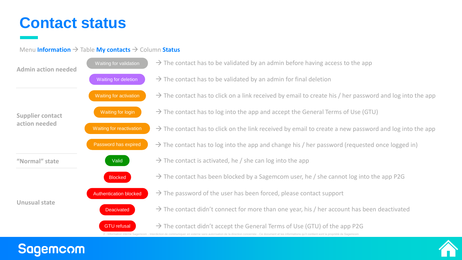# <span id="page-4-0"></span>**Contact status**

**Sagemcom** 

# Menu **Information** → Table **My contacts** → Column **Status**

| <b>Admin action needed</b> | Waiting for validation        | $\rightarrow$ The contact has to be validated by an admin before having access to the app                                                                                                                                                                                                     |
|----------------------------|-------------------------------|-----------------------------------------------------------------------------------------------------------------------------------------------------------------------------------------------------------------------------------------------------------------------------------------------|
|                            | Waiting for deletion          | $\rightarrow$ The contact has to be validated by an admin for final deletion                                                                                                                                                                                                                  |
|                            | Waiting for activation        | $\rightarrow$ The contact has to click on a link received by email to create his / her password and log into the app                                                                                                                                                                          |
| <b>Supplier contact</b>    | Waiting for login             | $\rightarrow$ The contact has to log into the app and accept the General Terms of Use (GTU)                                                                                                                                                                                                   |
| action needed              | Waiting for reactivation      | $\rightarrow$ The contact has to click on the link received by email to create a new password and log into the app                                                                                                                                                                            |
|                            | Password has expired          | $\rightarrow$ The contact has to log into the app and change his / her password (requested once logged in)                                                                                                                                                                                    |
| "Normal" state             | Valid                         | $\rightarrow$ The contact is activated, he / she can log into the app                                                                                                                                                                                                                         |
|                            | <b>Blocked</b>                | $\rightarrow$ The contact has been blocked by a Sagemcom user, he / she cannot log into the app P2G                                                                                                                                                                                           |
|                            | <b>Authentication blocked</b> | $\rightarrow$ The password of the user has been forced, please contact support                                                                                                                                                                                                                |
| <b>Unusual state</b>       | <b>Deacivated</b>             | $\rightarrow$ The contact didn't connect for more than one year, his / her account has been deactivated                                                                                                                                                                                       |
|                            | <b>GTU refusal</b>            | $\rightarrow$ The contact didn't accept the General Terms of Use (GTU) of the app P2G<br>2 - Information interne Sagemcom - Interdiction de communiquer en externe sans autorisation de la direction concernée - Ce document et les informations qu'il contient sont la propriété de Sagemcom |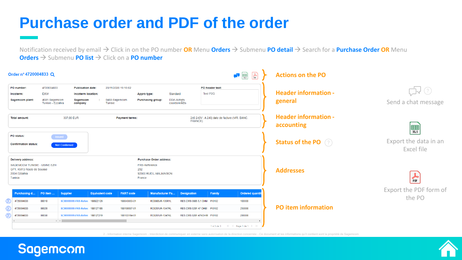# <span id="page-5-0"></span>**Purchase order and PDF of the order**

**Sagemcom** 

Notification received by email → Click in on the PO number **OR** Menu **Orders** → Submenu **PO detail** → Search for a **Purchase Order OR** Menu **Orders** → Submenu **PO list** → Click on a **PO number**



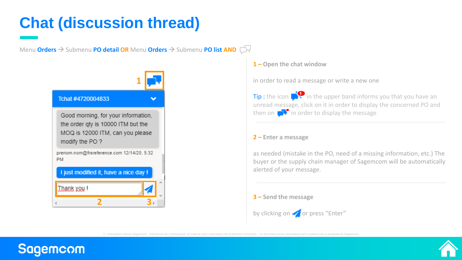# <span id="page-6-0"></span>**Chat (discussion thread)**

Menu **Orders** → Submenu **PO detail OR** Menu **Orders** → Submenu **PO list AND**



# **1 – Open the chat window**

in order to read a message or write a new one

Tip : the icon  $\blacksquare$  in the upper band informs you that you have an unread message, click on it in order to display the concerned PO and then on  $\blacksquare$  in order to display the message

### **2 – Enter a message**

as needed (mistake in the PO, need of a missing information, etc.) The buyer or the supply chain manager of Sagemcom will be automatically alerted of your message.

# **3 – Send the message** by clicking on **or** or press "Enter"



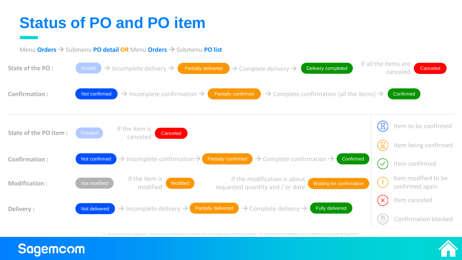# <span id="page-7-0"></span>**Status of PO and PO item**

**Sagemcom** 





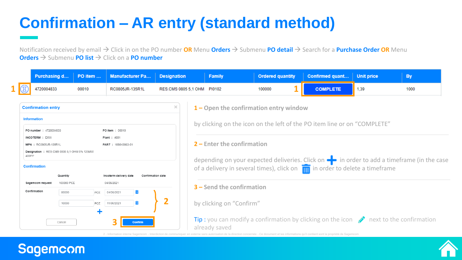# <span id="page-8-0"></span>**Confirmation – AR entry (standard method)**

Notification received by email → Click in on the PO number **OR** Menu **Orders** → Submenu **PO detail** → Search for a **Purchase Order OR** Menu **Orders** → Submenu **PO list** → Click on a **PO number**

|  |            |       | Purchasing d   PO item    Manufacturer Pa   Designation |                             | Family | <b>Ordered quantity</b> | Confirmed quant   Unit price |      |      |
|--|------------|-------|---------------------------------------------------------|-----------------------------|--------|-------------------------|------------------------------|------|------|
|  | 4720004833 | 00010 | RC0805JR-135R1L                                         | RES.CMS 0805 5,1 OHM PI0102 |        | 100000                  |                              | 1,39 | 1000 |

| <b>Confirmation entry</b>                                  |                           |  |  |  |  |
|------------------------------------------------------------|---------------------------|--|--|--|--|
| <b>Information</b>                                         |                           |  |  |  |  |
| PO number: 4720004833                                      | <b>PO item: 00010</b>     |  |  |  |  |
| <b>INCOTERM: FXW</b>                                       | <b>Plant: 4681</b>        |  |  |  |  |
| <b>MPN: RC0805JR-135R1L</b>                                | <b>PART: 188843863-01</b> |  |  |  |  |
| <b>Designation: RES.CMS 0805 5.1 OHM 5% 125MW</b><br>400PP |                           |  |  |  |  |

### **Confirmation**



## **1 – Open the confirmation entry window**

by clicking on the icon on the left of the PO item line or on "COMPLETE"

### **2 – Enter the confirmation**

depending on your expected deliveries. Click on  $\blacksquare$  in order to add a timeframe (in the case of a delivery in several times), click on  $\frac{1}{\sqrt{10}}$  in order to delete a timeframe

### **3 – Send the confirmation**

### by clicking on "Confirm"

Tip : you can modify a confirmation by clicking on the icon  $\rightarrow$  next to the confirmation already saved



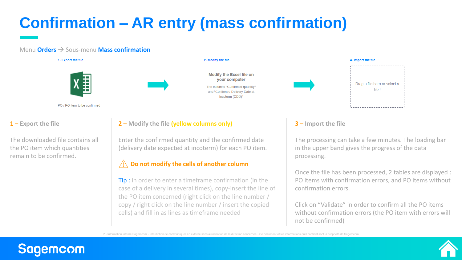# <span id="page-9-0"></span>**Confirmation – AR entry (mass confirmation)**

### Menu **Orders** → Sous-menu **Mass confirmation**

1- Export the file



PO / PO item to be confirmed

**1 – Export the file**

The downloaded file contains all the PO item which quantities remain to be confirmed.

### 2- Modify the file



**2 – Modify the file (yellow columns only)**

Enter the confirmed quantity and the confirmed date (delivery date expected at incoterm) for each PO item.

### **Do not modify the cells of another column**

**Tip**: in order to enter a timeframe confirmation (in the case of a delivery in several times), copy-insert the line of the PO item concerned (right click on the line number / copy / right click on the line number / insert the copied cells) and fill in as lines as timeframe needed



### **3 – Import the file**

The processing can take a few minutes. The loading bar in the upper band gives the progress of the data processing.

Once the file has been processed, 2 tables are displayed : PO items with confirmation errors, and PO items without confirmation errors.

Click on "Validate" in order to confirm all the PO items without confirmation errors (the PO item with errors will not be confirmed)

2 - Information interne Sagemcom - Interdiction de communiquer en externe sans autorisation de la direction concernée - Ce document et les informations qu'il contient sont la propriété de Sagemcom



# **Sagemcom**